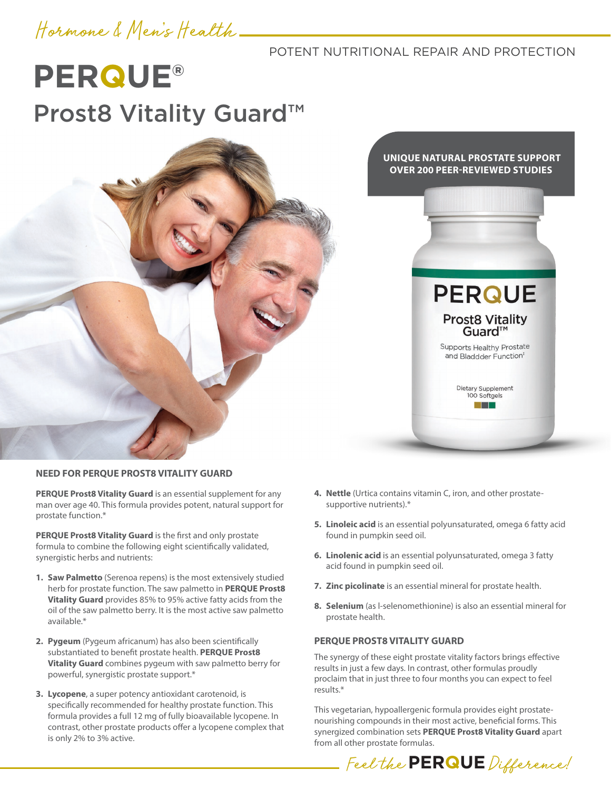## Hormone & Men's Health

### POTENT NUTRITIONAL REPAIR AND PROTECTION

# **PERQUE®** Prost8 Vitality Guard<sup>™</sup>



**UNIQUE NATURAL PROSTATE SUPPORT OVER 200 PEER-REVIEWED STUDIES**



### **NEED FOR PERQUE PROST8 VITALITY GUARD**

**PERQUE Prost8 Vitality Guard** is an essential supplement for any man over age 40. This formula provides potent, natural support for prostate function.\*

**PERQUE Prost8 Vitality Guard** is the first and only prostate formula to combine the following eight scientifically validated, synergistic herbs and nutrients:

- **1. Saw Palmetto** (Serenoa repens) is the most extensively studied herb for prostate function. The saw palmetto in **PERQUE Prost8 Vitality Guard** provides 85% to 95% active fatty acids from the oil of the saw palmetto berry. It is the most active saw palmetto available.\*
- **2. Pygeum** (Pygeum africanum) has also been scientifically substantiated to benefit prostate health. **PERQUE Prost8 Vitality Guard** combines pygeum with saw palmetto berry for powerful, synergistic prostate support.\*
- **3. Lycopene**, a super potency antioxidant carotenoid, is specifically recommended for healthy prostate function. This formula provides a full 12 mg of fully bioavailable lycopene. In contrast, other prostate products offer a lycopene complex that is only 2% to 3% active.
- **4. Nettle** (Urtica contains vitamin C, iron, and other prostatesupportive nutrients).\*
- **5. Linoleic acid** is an essential polyunsaturated, omega 6 fatty acid found in pumpkin seed oil.
- **6. Linolenic acid** is an essential polyunsaturated, omega 3 fatty acid found in pumpkin seed oil.
- **7. Zinc picolinate** is an essential mineral for prostate health.
- **8. Selenium** (as l-selenomethionine) is also an essential mineral for prostate health.

### **PERQUE PROST8 VITALITY GUARD**

The synergy of these eight prostate vitality factors brings effective results in just a few days. In contrast, other formulas proudly proclaim that in just three to four months you can expect to feel results.\*

This vegetarian, hypoallergenic formula provides eight prostatenourishing compounds in their most active, beneficial forms. This synergized combination sets **PERQUE Prost8 Vitality Guard** apart from all other prostate formulas.